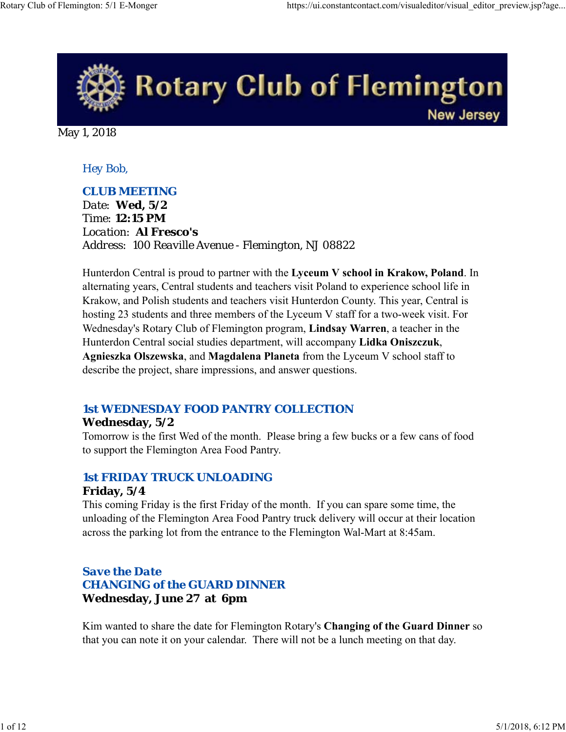

May 1, 2018

## *Hey Bob,*

## *CLUB MEETING*

*Date: Wed, 5/2 Time: 12:15 PM Location: Al Fresco's Address: 100 Reaville Avenue - Flemington, NJ 08822*

Hunterdon Central is proud to partner with the **Lyceum V school in Krakow, Poland**. In alternating years, Central students and teachers visit Poland to experience school life in Krakow, and Polish students and teachers visit Hunterdon County. This year, Central is hosting 23 students and three members of the Lyceum V staff for a two-week visit. For Wednesday's Rotary Club of Flemington program, **Lindsay Warren**, a teacher in the Hunterdon Central social studies department, will accompany **Lidka Oniszczuk**, **Agnieszka Olszewska**, and **Magdalena Planeta** from the Lyceum V school staff to describe the project, share impressions, and answer questions.

## *1st WEDNESDAY FOOD PANTRY COLLECTION*

## **Wednesday, 5/2**

Tomorrow is the first Wed of the month. Please bring a few bucks or a few cans of food to support the Flemington Area Food Pantry.

## *1st FRIDAY TRUCK UNLOADING* **Friday, 5/4**

This coming Friday is the first Friday of the month. If you can spare some time, the unloading of the Flemington Area Food Pantry truck delivery will occur at their location across the parking lot from the entrance to the Flemington Wal-Mart at 8:45am.

## *Save the Date CHANGING of the GUARD DINNER* **Wednesday, June 27 at 6pm**

Kim wanted to share the date for Flemington Rotary's **Changing of the Guard Dinner** so that you can note it on your calendar. There will not be a lunch meeting on that day.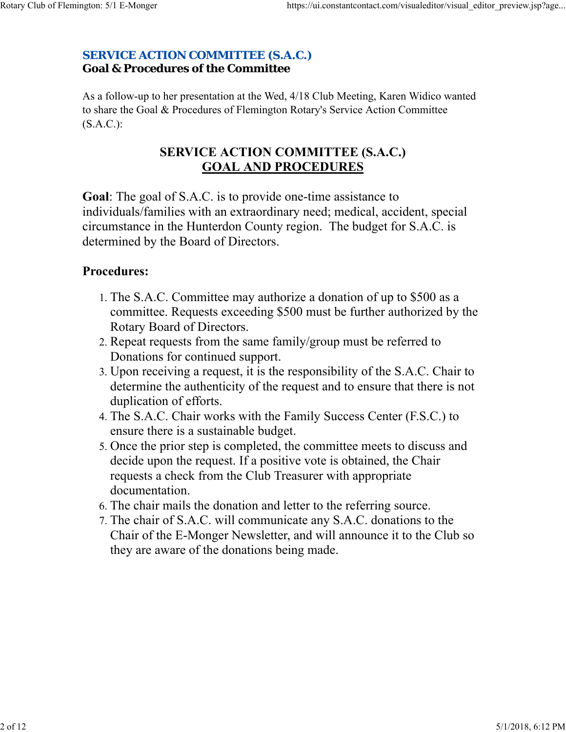## *SERVICE ACTION COMMITTEE (S.A.C.)* **Goal & Procedures of the Committee**

As a follow-up to her presentation at the Wed, 4/18 Club Meeting, Karen Widico wanted to share the Goal & Procedures of Flemington Rotary's Service Action Committee (S.A.C.):

## **SERVICE ACTION COMMITTEE (S.A.C.) GOAL AND PROCEDURES**

**Goal**: The goal of S.A.C. is to provide one-time assistance to individuals/families with an extraordinary need; medical, accident, special circumstance in the Hunterdon County region. The budget for S.A.C. is determined by the Board of Directors.

## **Procedures:**

- 1. The S.A.C. Committee may authorize a donation of up to \$500 as a committee. Requests exceeding \$500 must be further authorized by the Rotary Board of Directors.
- 2. Repeat requests from the same family/group must be referred to Donations for continued support.
- 3. Upon receiving a request, it is the responsibility of the S.A.C. Chair to determine the authenticity of the request and to ensure that there is not duplication of efforts.
- The S.A.C. Chair works with the Family Success Center (F.S.C.) to 4. ensure there is a sustainable budget.
- 5. Once the prior step is completed, the committee meets to discuss and decide upon the request. If a positive vote is obtained, the Chair requests a check from the Club Treasurer with appropriate documentation.
- 6. The chair mails the donation and letter to the referring source.
- 7. The chair of S.A.C. will communicate any S.A.C. donations to the Chair of the E-Monger Newsletter, and will announce it to the Club so they are aware of the donations being made.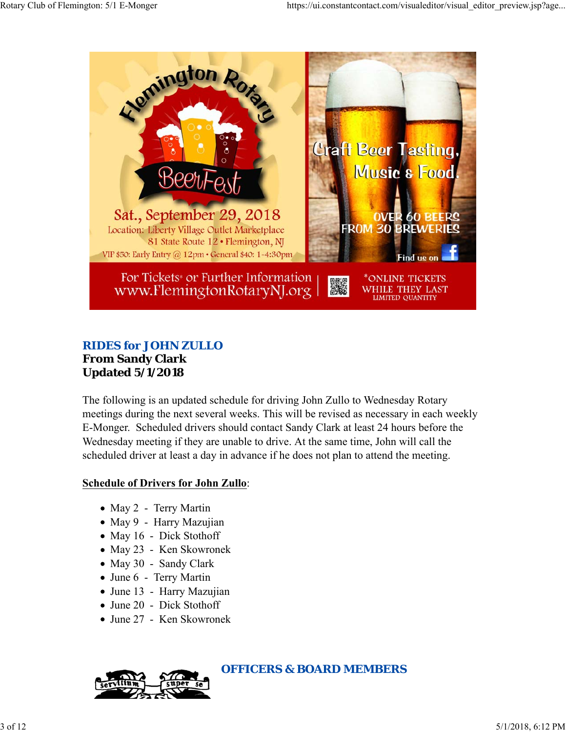

## *RIDES for JOHN ZULLO* **From Sandy Clark Updated 5/1/2018**

The following is an updated schedule for driving John Zullo to Wednesday Rotary meetings during the next several weeks. This will be revised as necessary in each weekly E-Monger. Scheduled drivers should contact Sandy Clark at least 24 hours before the Wednesday meeting if they are unable to drive. At the same time, John will call the scheduled driver at least a day in advance if he does not plan to attend the meeting.

## **Schedule of Drivers for John Zullo**:

- May 2 Terry Martin
- May 9 Harry Mazujian
- May 16 Dick Stothoff
- May 23 Ken Skowronek
- May 30 Sandy Clark
- June 6 Terry Martin
- June 13 Harry Mazujian
- June 20 Dick Stothoff
- June 27 Ken Skowronek



*OFFICERS & BOARD MEMBERS*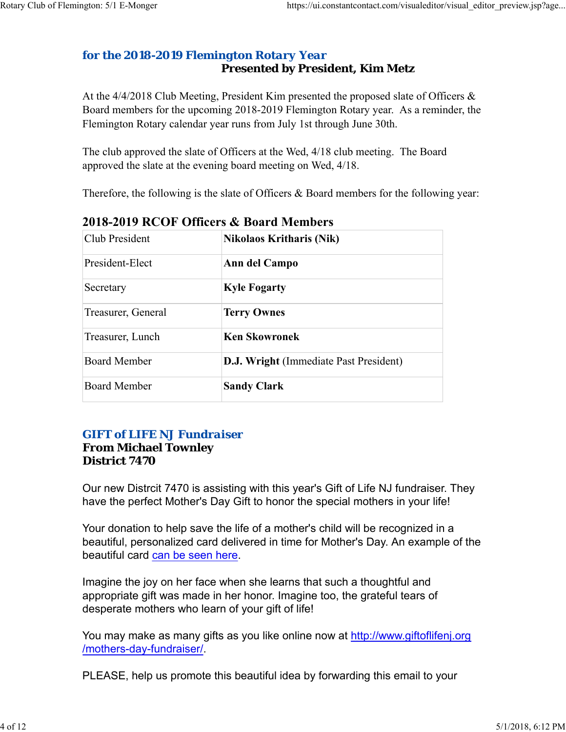## *for the 2018-2019 Flemington Rotary Year* **Presented by President, Kim Metz**

At the 4/4/2018 Club Meeting, President Kim presented the proposed slate of Officers & Board members for the upcoming 2018-2019 Flemington Rotary year. As a reminder, the Flemington Rotary calendar year runs from July 1st through June 30th.

The club approved the slate of Officers at the Wed, 4/18 club meeting. The Board approved the slate at the evening board meeting on Wed, 4/18.

Therefore, the following is the slate of Officers & Board members for the following year:

| Club President      | <b>Nikolaos Kritharis (Nik)</b>               |  |
|---------------------|-----------------------------------------------|--|
| President-Elect     | Ann del Campo                                 |  |
| Secretary           | <b>Kyle Fogarty</b>                           |  |
| Treasurer, General  | <b>Terry Ownes</b>                            |  |
| Treasurer, Lunch    | <b>Ken Skowronek</b>                          |  |
| <b>Board Member</b> | <b>D.J. Wright</b> (Immediate Past President) |  |
| Board Member        | <b>Sandy Clark</b>                            |  |

**2018-2019 RCOF Officers & Board Members** 

## *GIFT of LIFE NJ Fundraiser*

## **From Michael Townley District 7470**

Our new Distrcit 7470 is assisting with this year's Gift of Life NJ fundraiser. They have the perfect Mother's Day Gift to honor the special mothers in your life!

Your donation to help save the life of a mother's child will be recognized in a beautiful, personalized card delivered in time for Mother's Day. An example of the beautiful card can be seen here.

Imagine the joy on her face when she learns that such a thoughtful and appropriate gift was made in her honor. Imagine too, the grateful tears of desperate mothers who learn of your gift of life!

You may make as many gifts as you like online now at http://www.giftoflifenj.org /mothers-day-fundraiser/.

PLEASE, help us promote this beautiful idea by forwarding this email to your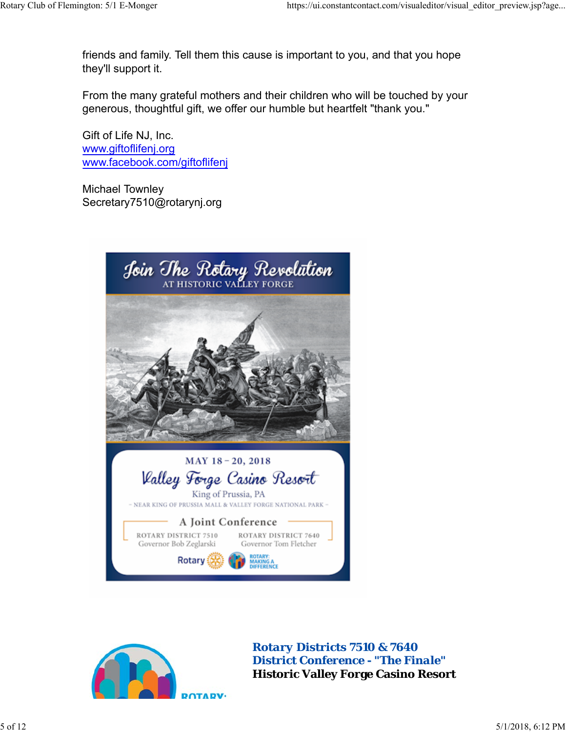friends and family. Tell them this cause is important to you, and that you hope they'll support it.

From the many grateful mothers and their children who will be touched by your generous, thoughtful gift, we offer our humble but heartfelt "thank you."

Gift of Life NJ, Inc. www.giftoflifenj.org www.facebook.com/giftoflifenj

Michael Townley Secretary7510@rotarynj.org





*Rotary Districts 7510 & 7640 District Conference - "The Finale"* **Historic Valley Forge Casino Resort**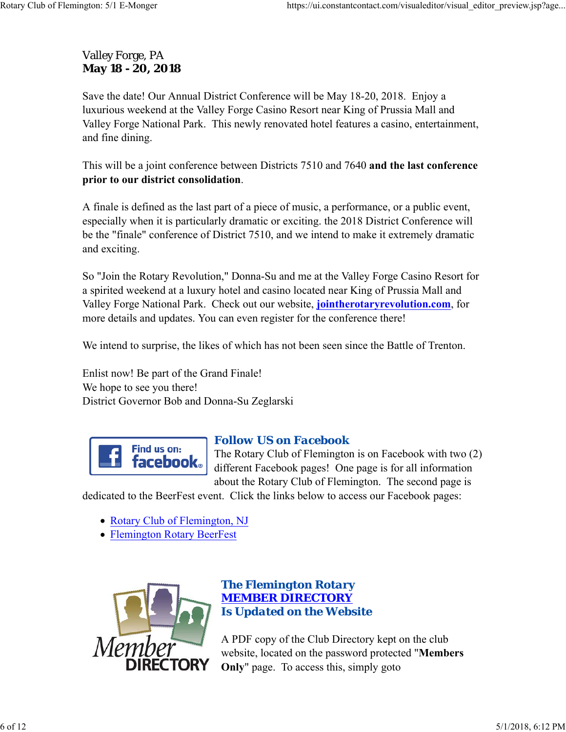## Valley Forge, PA **May 18 - 20, 2018**

Save the date! Our Annual District Conference will be May 18-20, 2018. Enjoy a luxurious weekend at the Valley Forge Casino Resort near King of Prussia Mall and Valley Forge National Park. This newly renovated hotel features a casino, entertainment, and fine dining.

This will be a joint conference between Districts 7510 and 7640 **and the last conference prior to our district consolidation**.

A finale is defined as the last part of a piece of music, a performance, or a public event, especially when it is particularly dramatic or exciting. the 2018 District Conference will be the "finale" conference of District 7510, and we intend to make it extremely dramatic and exciting.

So "Join the Rotary Revolution," Donna-Su and me at the Valley Forge Casino Resort for a spirited weekend at a luxury hotel and casino located near King of Prussia Mall and Valley Forge National Park. Check out our website, **jointherotaryrevolution.com**, for more details and updates. You can even register for the conference there!

We intend to surprise, the likes of which has not been seen since the Battle of Trenton.

Enlist now! Be part of the Grand Finale! We hope to see you there! District Governor Bob and Donna-Su Zeglarski



## *Follow US on Facebook*

The Rotary Club of Flemington is on Facebook with two (2) different Facebook pages! One page is for all information about the Rotary Club of Flemington. The second page is

dedicated to the BeerFest event. Click the links below to access our Facebook pages:

- Rotary Club of Flemington, NJ
- Flemington Rotary BeerFest



## *The Flemington Rotary MEMBER DIRECTORY Is Updated on the Website*

A PDF copy of the Club Directory kept on the club website, located on the password protected "**Members Only**" page. To access this, simply goto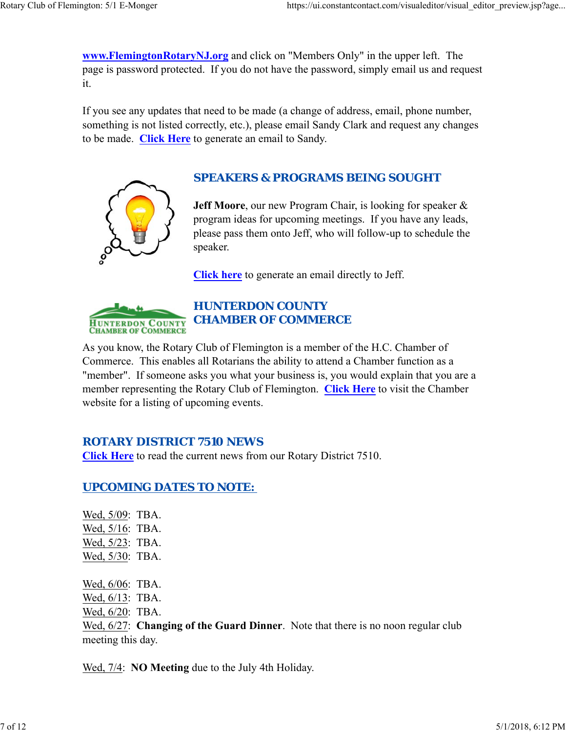**www.FlemingtonRotaryNJ.org** and click on "Members Only" in the upper left. The page is password protected. If you do not have the password, simply email us and request it.

If you see any updates that need to be made (a change of address, email, phone number, something is not listed correctly, etc.), please email Sandy Clark and request any changes to be made. **Click Here** to generate an email to Sandy.



## *SPEAKERS & PROGRAMS BEING SOUGHT*

**Jeff Moore**, our new Program Chair, is looking for speaker & program ideas for upcoming meetings. If you have any leads, please pass them onto Jeff, who will follow-up to schedule the speaker.

**Click here** to generate an email directly to Jeff.



## *HUNTERDON COUNTY CHAMBER OF COMMERCE*

As you know, the Rotary Club of Flemington is a member of the H.C. Chamber of Commerce. This enables all Rotarians the ability to attend a Chamber function as a "member". If someone asks you what your business is, you would explain that you are a member representing the Rotary Club of Flemington. **Click Here** to visit the Chamber website for a listing of upcoming events.

## *ROTARY DISTRICT 7510 NEWS*

**Click Here** to read the current news from our Rotary District 7510.

## *UPCOMING DATES TO NOTE:*

Wed, 5/09: TBA. Wed, 5/16: TBA. Wed, 5/23: TBA. Wed, 5/30: TBA. Wed, 6/06: TBA. Wed, 6/13: TBA. Wed, 6/20: TBA. Wed, 6/27: **Changing of the Guard Dinner**. Note that there is no noon regular club meeting this day.

Wed, 7/4: **NO Meeting** due to the July 4th Holiday.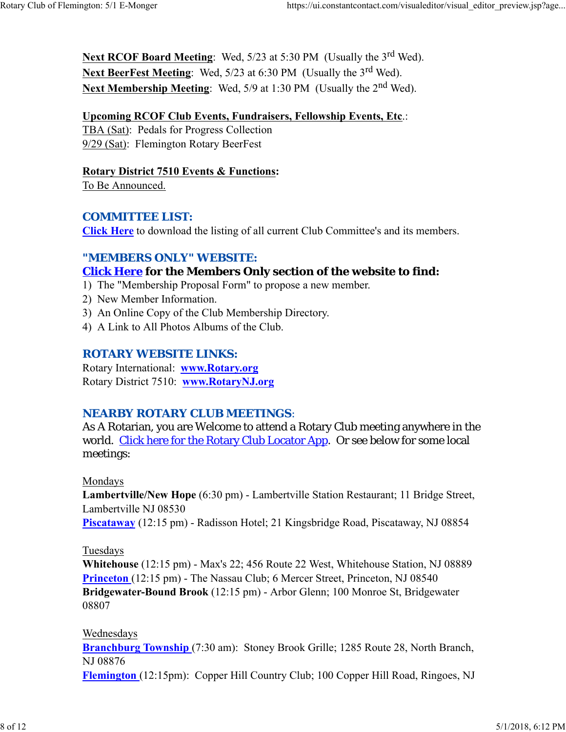Next RCOF Board Meeting: Wed, 5/23 at 5:30 PM (Usually the 3<sup>rd</sup> Wed). **Next BeerFest Meeting:** Wed, 5/23 at 6:30 PM (Usually the 3<sup>rd</sup> Wed). Next Membership Meeting: Wed, 5/9 at 1:30 PM (Usually the 2<sup>nd</sup> Wed).

#### **Upcoming RCOF Club Events, Fundraisers, Fellowship Events, Etc**.:

TBA (Sat): Pedals for Progress Collection 9/29 (Sat): Flemington Rotary BeerFest

#### **Rotary District 7510 Events & Functions:**

To Be Announced.

#### *COMMITTEE LIST:*

**Click Here** to download the listing of all current Club Committee's and its members.

## *"MEMBERS ONLY" WEBSITE:*

## **Click Here for the Members Only section of the website to find:**

- 1) The "Membership Proposal Form" to propose a new member.
- 2) New Member Information.
- 3) An Online Copy of the Club Membership Directory.
- 4) A Link to All Photos Albums of the Club.

## *ROTARY WEBSITE LINKS:*

Rotary International: **www.Rotary.org** Rotary District 7510: **www.RotaryNJ.org**

## *NEARBY ROTARY CLUB MEETINGS:*

As A Rotarian, you are Welcome to attend a Rotary Club meeting anywhere in the world. Click here for the Rotary Club Locator App. Or see below for some local meetings:

#### Mondays

**Lambertville/New Hope** (6:30 pm) - Lambertville Station Restaurant; 11 Bridge Street, Lambertville NJ 08530

**Piscataway** (12:15 pm) - Radisson Hotel; 21 Kingsbridge Road, Piscataway, NJ 08854

## Tuesdays

**Whitehouse** (12:15 pm) - Max's 22; 456 Route 22 West, Whitehouse Station, NJ 08889 **Princeton** (12:15 pm) - The Nassau Club; 6 Mercer Street, Princeton, NJ 08540 **Bridgewater-Bound Brook** (12:15 pm) - Arbor Glenn; 100 Monroe St, Bridgewater 08807

#### Wednesdays

**Branchburg Township** (7:30 am): Stoney Brook Grille; 1285 Route 28, North Branch, NJ 08876

**Flemington** (12:15pm): Copper Hill Country Club; 100 Copper Hill Road, Ringoes, NJ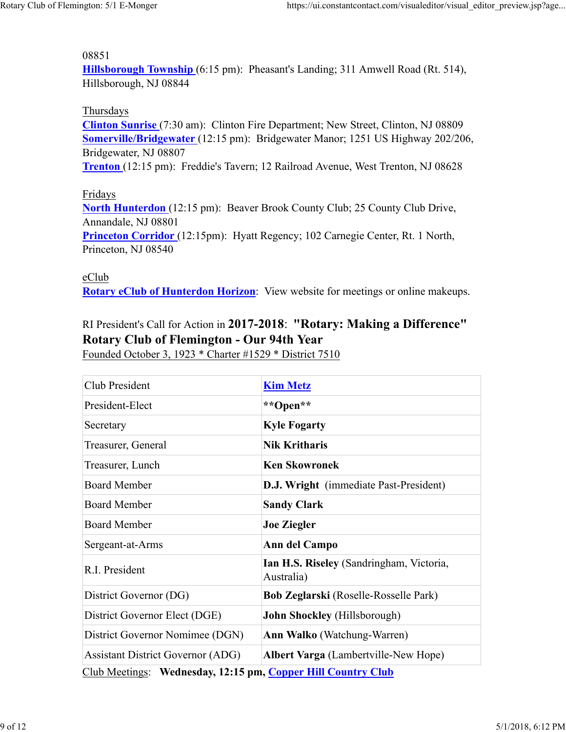#### 08851

**Hillsborough Township** (6:15 pm): Pheasant's Landing; 311 Amwell Road (Rt. 514), Hillsborough, NJ 08844

#### Thursdays

**Clinton Sunrise** (7:30 am): Clinton Fire Department; New Street, Clinton, NJ 08809 **Somerville/Bridgewater** (12:15 pm): Bridgewater Manor; 1251 US Highway 202/206, Bridgewater, NJ 08807

**Trenton** (12:15 pm): Freddie's Tavern; 12 Railroad Avenue, West Trenton, NJ 08628

#### Fridays

**North Hunterdon** (12:15 pm): Beaver Brook County Club; 25 County Club Drive, Annandale, NJ 08801 **Princeton Corridor** (12:15pm): Hyatt Regency; 102 Carnegie Center, Rt. 1 North, Princeton, NJ 08540

#### eClub

**Rotary eClub of Hunterdon Horizon**: View website for meetings or online makeups.

## RI President's Call for Action in **2017-2018**: **"Rotary: Making a Difference" Rotary Club of Flemington - Our 94th Year**

Founded October 3, 1923 \* Charter #1529 \* District 7510

| Club President                                               | <b>Kim Metz</b>                                        |  |  |  |
|--------------------------------------------------------------|--------------------------------------------------------|--|--|--|
| President-Elect                                              | **Open**                                               |  |  |  |
| Secretary                                                    | <b>Kyle Fogarty</b>                                    |  |  |  |
| Treasurer, General                                           | <b>Nik Kritharis</b>                                   |  |  |  |
| Treasurer, Lunch                                             | <b>Ken Skowronek</b>                                   |  |  |  |
| <b>Board Member</b>                                          | <b>D.J. Wright</b> (immediate Past-President)          |  |  |  |
| <b>Board Member</b>                                          | <b>Sandy Clark</b>                                     |  |  |  |
| <b>Board Member</b>                                          | <b>Joe Ziegler</b>                                     |  |  |  |
| Sergeant-at-Arms                                             | Ann del Campo                                          |  |  |  |
| R.I. President                                               | Ian H.S. Riseley (Sandringham, Victoria,<br>Australia) |  |  |  |
| District Governor (DG)                                       | Bob Zeglarski (Roselle-Rosselle Park)                  |  |  |  |
| District Governor Elect (DGE)                                | <b>John Shockley</b> (Hillsborough)                    |  |  |  |
| District Governor Nomimee (DGN)                              | <b>Ann Walko</b> (Watchung-Warren)                     |  |  |  |
| <b>Assistant District Governor (ADG)</b>                     | <b>Albert Varga</b> (Lambertville-New Hope)            |  |  |  |
| Club Meetings: Wednesday, 12:15 pm, Copper Hill Country Club |                                                        |  |  |  |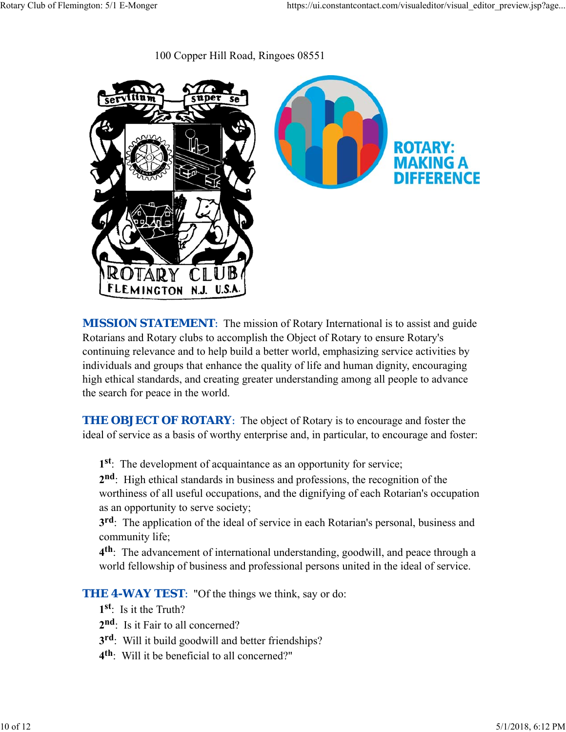100 Copper Hill Road, Ringoes 08551



**MISSION STATEMENT:** The mission of Rotary International is to assist and guide Rotarians and Rotary clubs to accomplish the Object of Rotary to ensure Rotary's continuing relevance and to help build a better world, emphasizing service activities by individuals and groups that enhance the quality of life and human dignity, encouraging high ethical standards, and creating greater understanding among all people to advance the search for peace in the world.

**THE OBJECT OF ROTARY:** The object of Rotary is to encourage and foster the ideal of service as a basis of worthy enterprise and, in particular, to encourage and foster:

**1st**: The development of acquaintance as an opportunity for service;

**2nd**: High ethical standards in business and professions, the recognition of the worthiness of all useful occupations, and the dignifying of each Rotarian's occupation as an opportunity to serve society;

**3rd**: The application of the ideal of service in each Rotarian's personal, business and community life;

**4th**: The advancement of international understanding, goodwill, and peace through a world fellowship of business and professional persons united in the ideal of service.

**THE 4-WAY TEST:** "Of the things we think, say or do:

- **1st**: Is it the Truth?
- 2<sup>nd</sup>: Is it Fair to all concerned?
- **3rd**: Will it build goodwill and better friendships?
- **4th**: Will it be beneficial to all concerned?"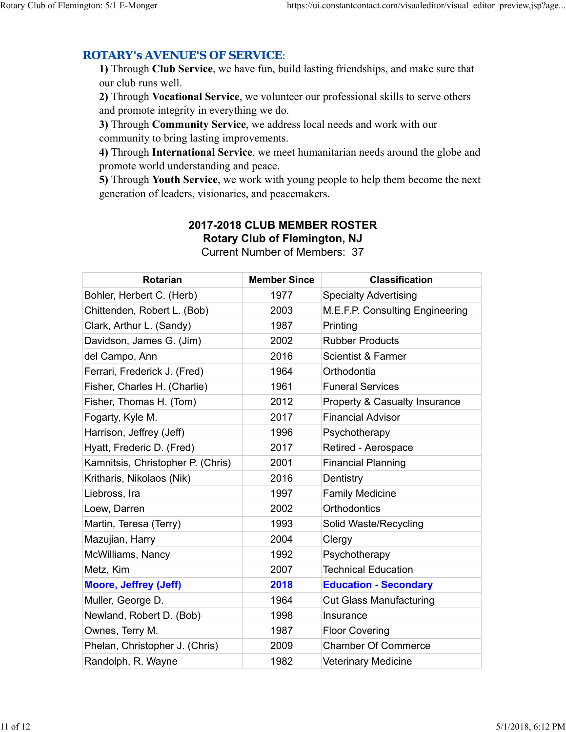## *ROTARY's AVENUE'S OF SERVICE*:

**1)** Through **Club Service**, we have fun, build lasting friendships, and make sure that our club runs well.

**2)** Through **Vocational Service**, we volunteer our professional skills to serve others and promote integrity in everything we do.

**3)** Through **Community Service**, we address local needs and work with our community to bring lasting improvements.

**4)** Through **International Service**, we meet humanitarian needs around the globe and promote world understanding and peace.

**5)** Through **Youth Service**, we work with young people to help them become the next generation of leaders, visionaries, and peacemakers.

# **Rotarian Member Since Classification** Bohler, Herbert C. (Herb) 1977 Specialty Advertising Chittenden, Robert L. (Bob) 2003 M.E.F.P. Consulting Engineering Clark, Arthur L. (Sandy) 1987 Printing Davidson, James G. (Jim) 2002 Rubber Products del Campo, Ann 1986 ann 2016 Scientist & Farmer Ferrari, Frederick J. (Fred) 1964 Orthodontia Fisher, Charles H. (Charlie) 1961 Funeral Services Fisher, Thomas H. (Tom) 2012 Property & Casualty Insurance Fogarty, Kyle M. 2017 Financial Advisor Harrison, Jeffrey (Jeff) 1996 Psychotherapy Hyatt, Frederic D. (Fred)  $\qquad$  2017 Retired - Aerospace Kamnitsis, Christopher P. (Chris) | 2001 Financial Planning Kritharis, Nikolaos (Nik) 2016 Dentistry Liebross, Ira **1997** Family Medicine Loew, Darren 2002 Orthodontics Martin, Teresa (Terry) 1993 Solid Waste/Recycling Mazujian, Harry 2004 Clergy McWilliams, Nancy 1992 Psychotherapy Metz, Kim 2007 Technical Education **Moore, Jeffrey (Jeff) 2018 Education - Secondary** Muller, George D. 1964 Cut Glass Manufacturing Newland, Robert D. (Bob) 1998 Insurance Ownes, Terry M. 1987 Floor Covering Phelan, Christopher J. (Chris) 2009 Chamber Of Commerce

Randolph, R. Wayne 1982 Veterinary Medicine

#### **2017-2018 CLUB MEMBER ROSTER Rotary Club of Flemington, NJ** Current Number of Members: 37